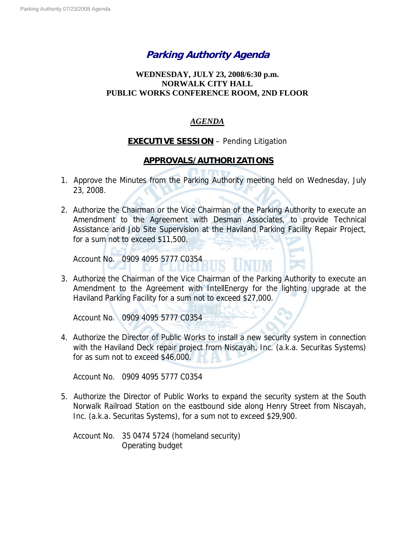# **Parking Authority Agenda**

## **WEDNESDAY, JULY 23, 2008/6:30 p.m. NORWALK CITY HALL PUBLIC WORKS CONFERENCE ROOM, 2ND FLOOR**

### *AGENDA*

## **EXECUTIVE SESSION** – Pending Litigation

## **APPROVALS/AUTHORIZATIONS**

- 1. Approve the Minutes from the Parking Authority meeting held on Wednesday, July 23, 2008.
- 2. Authorize the Chairman or the Vice Chairman of the Parking Authority to execute an Amendment to the Agreement with Desman Associates, to provide Technical Assistance and Job Site Supervision at the Haviland Parking Facility Repair Project, for a sum not to exceed \$11,500.

Account No. 0909 4095 5777 C0354

3. Authorize the Chairman of the Vice Chairman of the Parking Authority to execute an Amendment to the Agreement with IntellEnergy for the lighting upgrade at the Haviland Parking Facility for a sum not to exceed \$27,000.

LUMI

Account No. 0909 4095 5777 C0354

4. Authorize the Director of Public Works to install a new security system in connection with the Haviland Deck repair project from Niscayah, Inc. (a.k.a. Securitas Systems) for as sum not to exceed \$46,000.

Account No. 0909 4095 5777 C0354

5. Authorize the Director of Public Works to expand the security system at the South Norwalk Railroad Station on the eastbound side along Henry Street from Niscayah, Inc. (a.k.a. Securitas Systems), for a sum not to exceed \$29,900.

Account No. 35 0474 5724 (homeland security) Operating budget